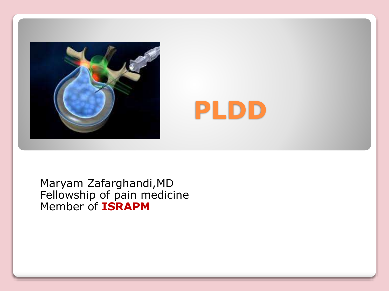



Maryam Zafarghandi,MD Fellowship of pain medicine Member of **ISRAPM**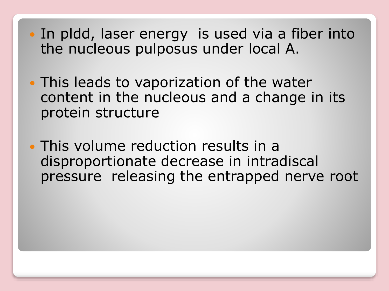- In pldd, laser energy is used via a fiber into the nucleous pulposus under local A.
- This leads to vaporization of the water content in the nucleous and a change in its protein structure
- This volume reduction results in a disproportionate decrease in intradiscal pressure releasing the entrapped nerve root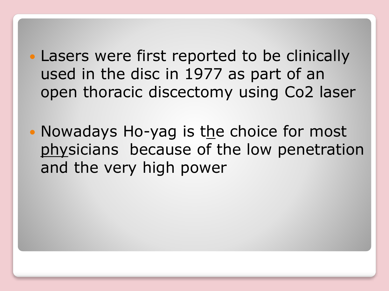- Lasers were first reported to be clinically used in the disc in 1977 as part of an open thoracic discectomy using Co2 laser
- Nowadays Ho-yag is the choice for most physicians because of the low penetration and the very high power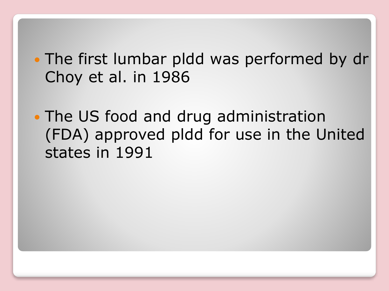- The first lumbar pldd was performed by dr Choy et al. in 1986
- The US food and drug administration (FDA) approved pldd for use in the United states in 1991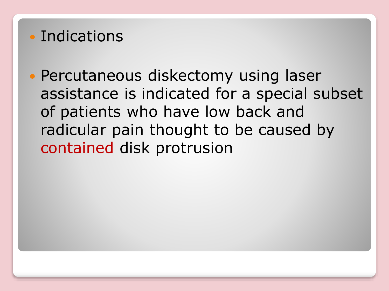#### • Indications

• Percutaneous diskectomy using laser assistance is indicated for a special subset of patients who have low back and radicular pain thought to be caused by contained disk protrusion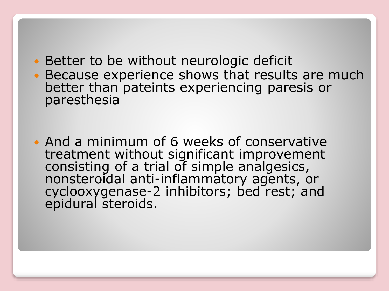- Better to be without neurologic deficit
- Because experience shows that results are much better than pateints experiencing paresis or paresthesia
- And a minimum of 6 weeks of conservative treatment without significant improvement consisting of a trial of simple analgesics, nonsteroidal anti-inflammatory agents, or cyclooxygenase-2 inhibitors; bed rest; and epidural steroids.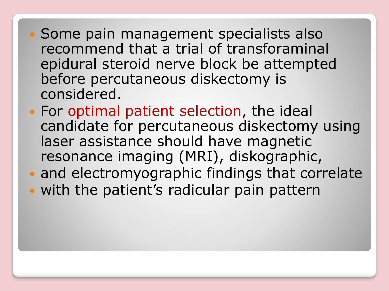- Some pain management specialists also recommend that a trial of transforaminal epidural steroid nerve block be attempted before percutaneous diskectomy is considered.
- For optimal patient selection, the ideal candidate for percutaneous diskectomy using laser assistance should have magnetic resonance imaging (MRI), diskographic,
- and electromyographic findings that correlate • with the patient's radicular pain pattern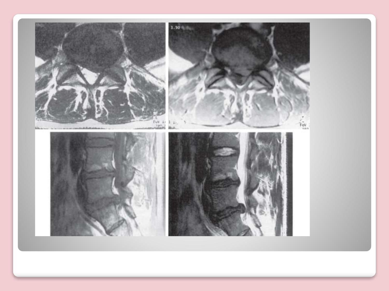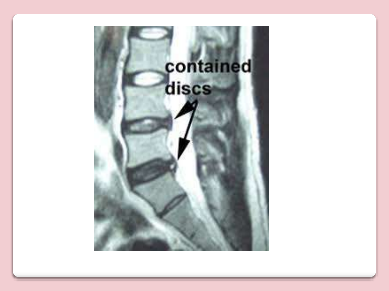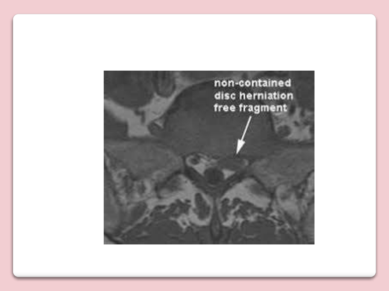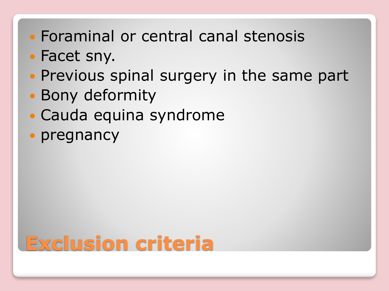- Foraminal or central canal stenosis
- Facet sny.
- Previous spinal surgery in the same part
- Bony deformity
- Cauda equina syndrome
- pregnancy

## **Exclusion criteria**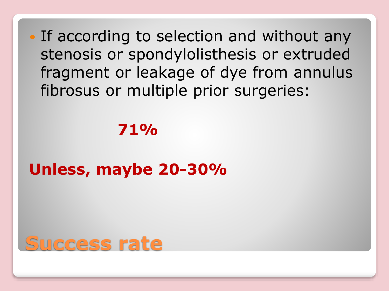• If according to selection and without any stenosis or spondylolisthesis or extruded fragment or leakage of dye from annulus fibrosus or multiple prior surgeries:

#### **71%**

#### **Unless, maybe 20-30%**

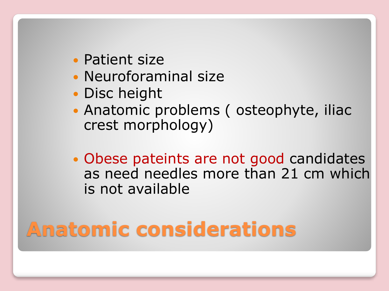- Patient size
- Neuroforaminal size
- Disc height
- Anatomic problems ( osteophyte, iliac crest morphology)
- Obese pateints are not good candidates as need needles more than 21 cm which is not available

### **Anatomic considerations**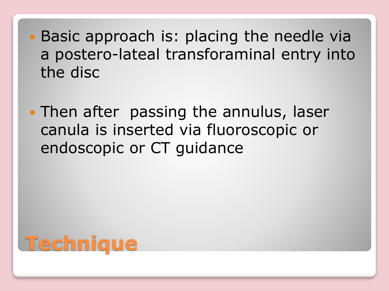- Basic approach is: placing the needle via a postero-lateal transforaminal entry into the disc
- Then after passing the annulus, laser canula is inserted via fluoroscopic or endoscopic or CT guidance

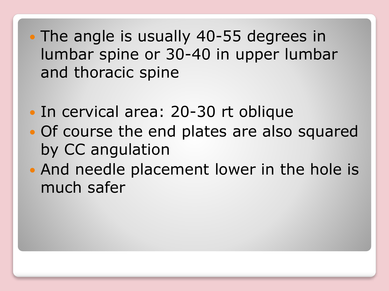• The angle is usually 40-55 degrees in lumbar spine or 30-40 in upper lumbar and thoracic spine

- In cervical area: 20-30 rt oblique
- Of course the end plates are also squared by CC angulation
- And needle placement lower in the hole is much safer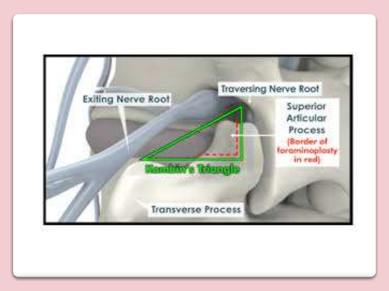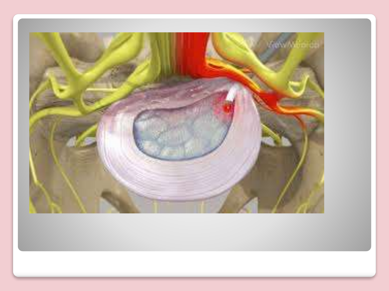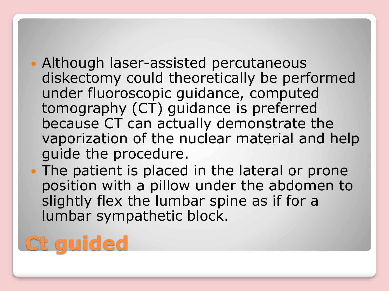- Although laser-assisted percutaneous diskectomy could theoretically be performed under fluoroscopic guidance, computed tomography (CT) guidance is preferred because CT can actually demonstrate the vaporization of the nuclear material and help guide the procedure.
- The patient is placed in the lateral or prone position with a pillow under the abdomen to slightly flex the lumbar spine as if for a lumbar sympathetic block.

# **Ct guided**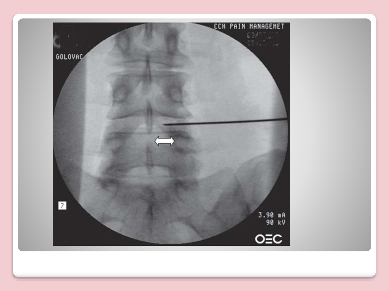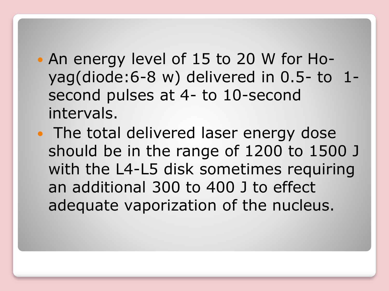- An energy level of 15 to 20 W for Hoyag(diode:6-8 w) delivered in 0.5- to 1 second pulses at 4- to 10-second intervals.
- The total delivered laser energy dose should be in the range of 1200 to 1500 J with the L4-L5 disk sometimes requiring an additional 300 to 400 J to effect adequate vaporization of the nucleus.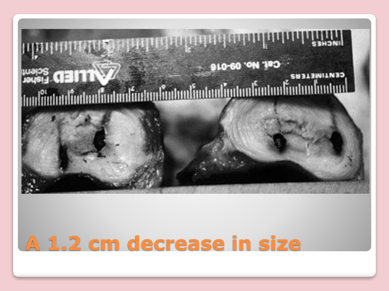

## **A 1.2 cm decrease in size**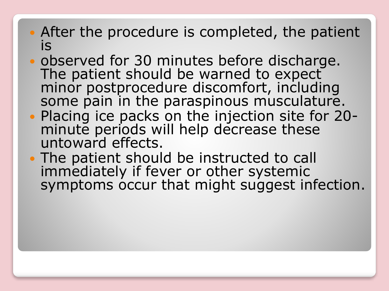- After the procedure is completed, the patient is
- observed for 30 minutes before discharge. The patient should be warned to expect minor postprocedure discomfort, including some pain in the paraspinous musculature.
- Placing ice packs on the injection site for 20 minute periods will help decrease these untoward effects.
- The patient should be instructed to call immediately if fever or other systemic symptoms occur that might suggest infection.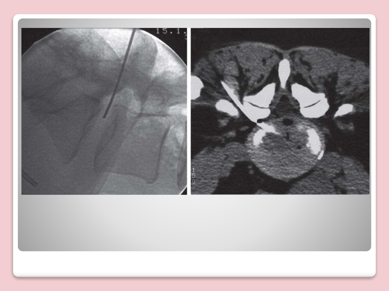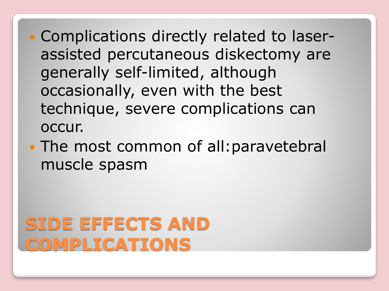- Complications directly related to laserassisted percutaneous diskectomy are generally self-limited, although occasionally, even with the best technique, severe complications can occur.
- The most common of all: paravetebral muscle spasm

#### **SIDE EFFECTS AND COMPLICATIONS**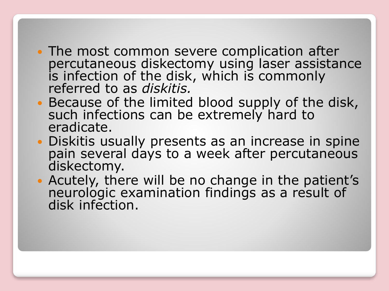- The most common severe complication after percutaneous diskectomy using laser assistance is infection of the disk, which is commonly referred to as *diskitis.*
- Because of the limited blood supply of the disk, such infections can be extremely hard to eradicate.
- Diskitis usually presents as an increase in spine pain several days to a week after percutaneous diskectomy.
- Acutely, there will be no change in the patient's neurologic examination findings as a result of disk infection.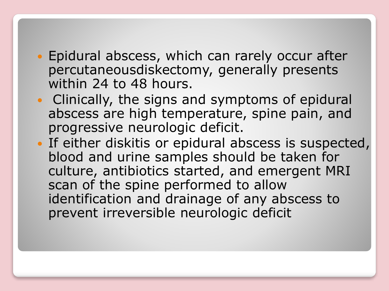- Epidural abscess, which can rarely occur after percutaneousdiskectomy, generally presents within 24 to 48 hours.
- Clinically, the signs and symptoms of epidural abscess are high temperature, spine pain, and progressive neurologic deficit.
- If either diskitis or epidural abscess is suspected, blood and urine samples should be taken for culture, antibiotics started, and emergent MRI scan of the spine performed to allow identification and drainage of any abscess to prevent irreversible neurologic deficit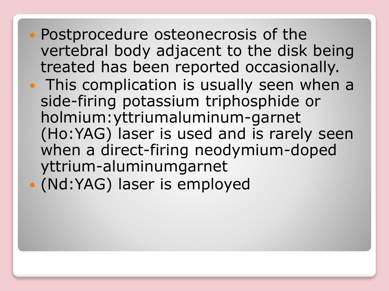- Postprocedure osteonecrosis of the vertebral body adjacent to the disk being treated has been reported occasionally.
- This complication is usually seen when a side-firing potassium triphosphide or holmium:yttriumaluminum-garnet (Ho:YAG) laser is used and is rarely seen when a direct-firing neodymium-doped yttrium-aluminumgarnet
- (Nd:YAG) laser is employed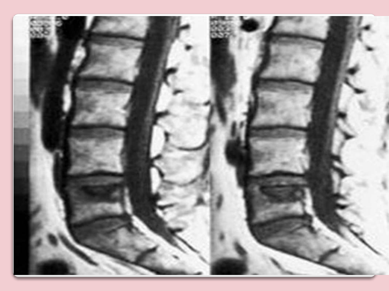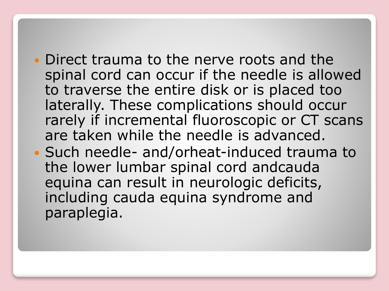- Direct trauma to the nerve roots and the spinal cord can occur if the needle is allowed to traverse the entire disk or is placed too laterally. These complications should occur rarely if incremental fluoroscopic or CT scans are taken while the needle is advanced.
- Such needle- and/orheat-induced trauma to the lower lumbar spinal cord andcauda equina can result in neurologic deficits, including cauda equina syndrome and paraplegia.